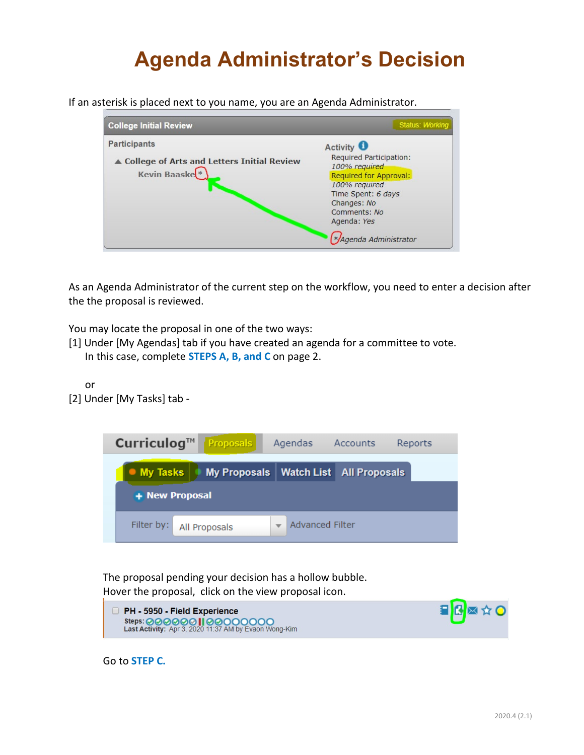# **Agenda Administrator's Decision**

If an asterisk is placed next to you name, you are an Agenda Administrator.



As an Agenda Administrator of the current step on the workflow, you need to enter a decision after the the proposal is reviewed.

You may locate the proposal in one of the two ways:

- [1] Under [My Agendas] tab if you have created an agenda for a committee to vote. In this case, complete **STEPS A, B, and C** on page 2.
- or [2] Under [My Tasks] tab -



The proposal pending your decision has a hollow bubble. Hover the proposal, click on the view proposal icon.



Go to **STEP C.**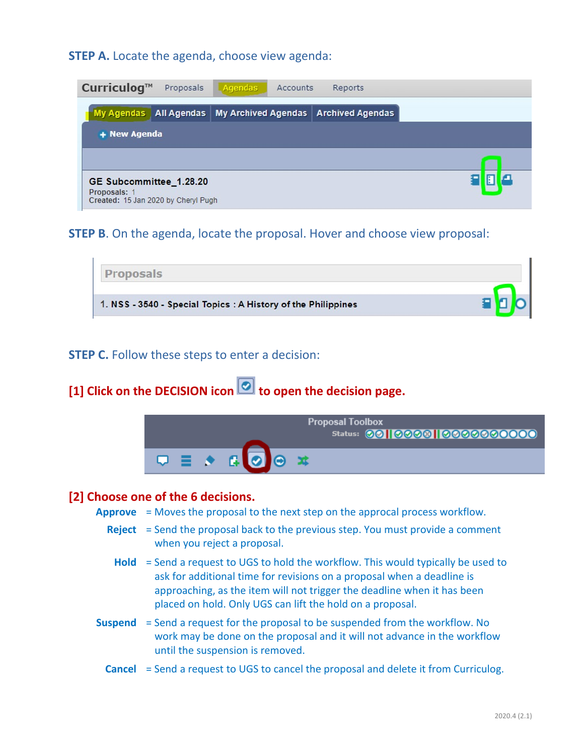**STEP A.** Locate the agenda, choose view agenda:

| Curriculog <sup><math>M</math></sup>                                         | Proposals | Agendas<br>Accounts                                               | Reports |  |  |
|------------------------------------------------------------------------------|-----------|-------------------------------------------------------------------|---------|--|--|
|                                                                              |           | My Agendas   All Agendas   My Archived Agendas   Archived Agendas |         |  |  |
| + New Agenda                                                                 |           |                                                                   |         |  |  |
|                                                                              |           |                                                                   |         |  |  |
| GE Subcommittee_1.28.20<br>Proposals:<br>Created: 15 Jan 2020 by Cheryl Pugh |           |                                                                   |         |  |  |

## **STEP B**. On the agenda, locate the proposal. Hover and choose view proposal:

| oposals                                                       |  |
|---------------------------------------------------------------|--|
| 1. NSS - 3540 - Special Topics : A History of the Philippines |  |

#### **STEP C.** Follow these steps to enter a decision:

[1] Click on the DECISION icon **o** to open the decision page.



#### **[2] Choose one of the 6 decisions.**

- **Approve** = Moves the proposal to the next step on the approcal process workflow.
	- **Reject** = Send the proposal back to the previous step. You must provide a comment when you reject a proposal.
		- **Hold** = Send a request to UGS to hold the workflow. This would typically be used to ask for additional time for revisions on a proposal when a deadline is approaching, as the item will not trigger the deadline when it has been placed on hold. Only UGS can lift the hold on a proposal.
- **Suspend** = Send a request for the proposal to be suspended from the workflow. No work may be done on the proposal and it will not advance in the workflow until the suspension is removed.
	- **Cancel** = Send a request to UGS to cancel the proposal and delete it from Curriculog.